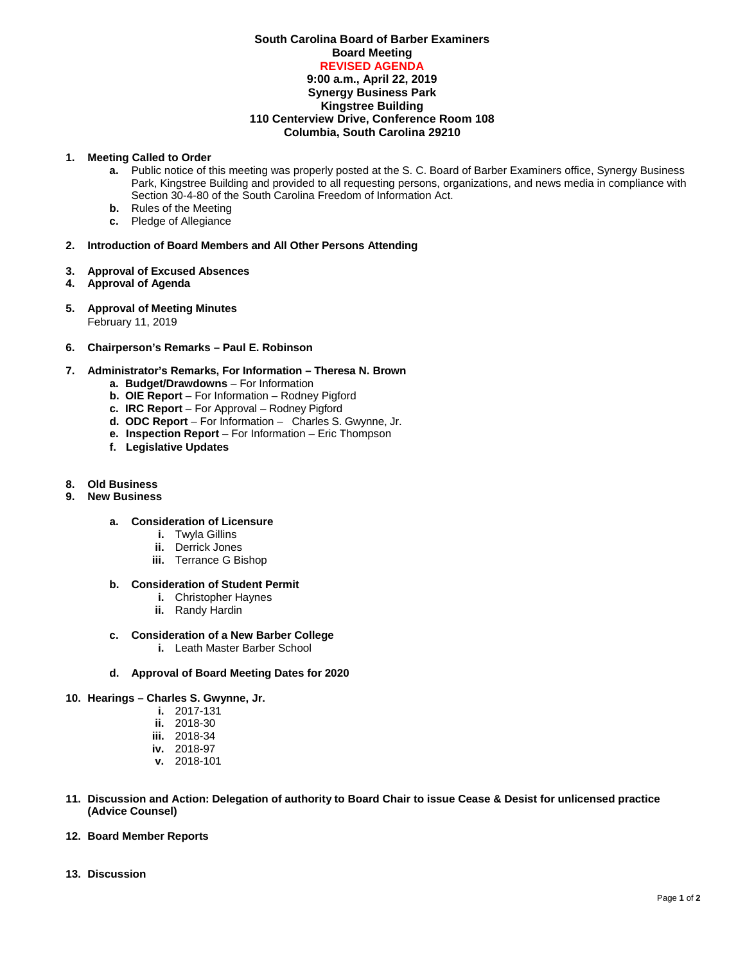### **South Carolina Board of Barber Examiners Board Meeting REVISED AGENDA 9:00 a.m., April 22, 2019 Synergy Business Park Kingstree Building 110 Centerview Drive, Conference Room 108 Columbia, South Carolina 29210**

#### **1. Meeting Called to Order**

- **a.** Public notice of this meeting was properly posted at the S. C. Board of Barber Examiners office, Synergy Business Park, Kingstree Building and provided to all requesting persons, organizations, and news media in compliance with Section 30-4-80 of the South Carolina Freedom of Information Act.
- **b.** Rules of the Meeting
- **c.** Pledge of Allegiance

#### **2. Introduction of Board Members and All Other Persons Attending**

- **3. Approval of Excused Absences**
- **4. Approval of Agenda**
- **5. Approval of Meeting Minutes** February 11, 2019
- **6. Chairperson's Remarks – Paul E. Robinson**

## **7. Administrator's Remarks, For Information – Theresa N. Brown**

- **a. Budget/Drawdowns** For Information
- **b. OIE Report**  For Information Rodney Pigford
- **c. IRC Report**  For Approval Rodney Pigford
- **d. ODC Report**  For Information Charles S. Gwynne, Jr.
- **e. Inspection Report** For Information Eric Thompson
- **f. Legislative Updates**

# **8. Old Business**

**9. New Business**

## **a. Consideration of Licensure**

- **i.** Twyla Gillins
- **ii.** Derrick Jones
- **iii.** Terrance G Bishop

#### **b. Consideration of Student Permit**

- **i.** Christopher Haynes
- **ii.** Randy Hardin
- **c. Consideration of a New Barber College** 
	- **i.** Leath Master Barber School
- **d. Approval of Board Meeting Dates for 2020**
- **10. Hearings – Charles S. Gwynne, Jr.**
	- **i.** 2017-131
	- **ii.** 2018-30
	- **iii.** 2018-34
	- **iv.** 2018-97
	- **v.** 2018-101
- **11. Discussion and Action: Delegation of authority to Board Chair to issue Cease & Desist for unlicensed practice (Advice Counsel)**
- **12. Board Member Reports**
- **13. Discussion**